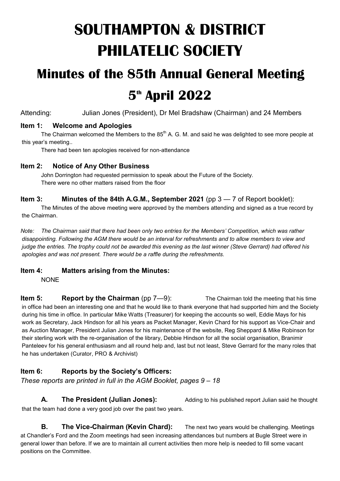# **SOUTHAMPTON & DISTRICT PHILATELIC SOCIETY**

# **Minutes of the 85th Annual General Meeting**

# **5th April 2022**

Attending: Julian Jones (President), Dr Mel Bradshaw (Chairman) and 24 Members

# **Item 1: Welcome and Apologies**

The Chairman welcomed the Members to the  $85<sup>th</sup>$  A. G. M. and said he was delighted to see more people at this year's meeting..

There had been ten apologies received for non-attendance

# **Item 2: Notice of Any Other Business**

John Dorrington had requested permission to speak about the Future of the Society. There were no other matters raised from the floor

### **Item 3: Minutes of the 84th A.G.M., September 2021** (pp 3 — 7 of Report booklet):

The Minutes of the above meeting were approved by the members attending and signed as a true record by the Chairman.

*Note: The Chairman said that there had been only two entries for the Members' Competition, which was rather disappointing. Following the AGM there would be an interval for refreshments and to allow members to view and judge the entries. The trophy could not be awarded this evening as the last winner (Steve Gerrard) had offered his apologies and was not present. There would be a raffle during the refreshments.*

# **Item 4: Matters arising from the Minutes:**

NONE

**Item 5: Report by the Chairman** (pp 7—9): The Chairman told the meeting that his time in office had been an interesting one and that he would like to thank everyone that had supported him and the Society during his time in office. In particular Mike Watts (Treasurer) for keeping the accounts so well, Eddie Mays for his work as Secretary, Jack Hindson for all his years as Packet Manager, Kevin Chard for his support as Vice-Chair and as Auction Manager, President Julian Jones for his maintenance of the website, Reg Sheppard & Mike Robinson for their sterling work with the re-organisation of the library, Debbie Hindson for all the social organisation, Branimir Panteleev for his general enthusiasm and all round help and, last but not least, Steve Gerrard for the many roles that he has undertaken (Curator, PRO & Archivist)

# **Item 6: Reports by the Society's Officers:**

*These reports are printed in full in the AGM Booklet, pages 9 – 18*

that the team had done a very good job over the past two years.

**B. The Vice-Chairman (Kevin Chard):** The next two years would be challenging. Meetings at Chandler's Ford and the Zoom meetings had seen increasing attendances but numbers at Bugle Street were in general lower than before. If we are to maintain all current activities then more help is needed to fill some vacant positions on the Committee.

**A. The President (Julian Jones):** Adding to his published report Julian said he thought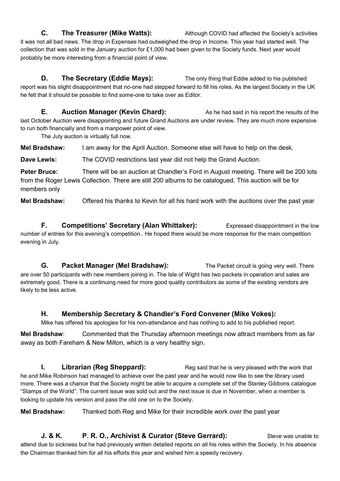**C.** The Treasurer (Mike Watts): Although COVID had affected the Society's activities it was not all bad news. The drop in Expenses had outweighed the drop in Income. This year had started well. The collection that was sold in the January auction for £1,000 had been given to the Society funds. Next year would probably be more interesting from a financial point of view.

**D. The Secretary (Eddie Mays):** The only thing that Eddie added to his published report was his slight disappointment that no-one had stepped forward to fill his roles. As the largest Society in the UK he felt that it should be possible to find some-one to take over as Editor.

**E.** Auction Manager (Kevin Chard): As he had said in his report the results of the last October Auction were disappointing and future Grand Auctions are under review. They are much more expensive to run both financially and from a manpower point of view.

The July auction is virtually full now.

**Mel Bradshaw:** I am away for the April Auction. Someone else will have to help on the desk.

**Dave Lewis:** The COVID restrictions last year did not help the Grand Auction.

**Peter Bruce:** There will be an auction at Chandler's Ford in August meeting. There will be 200 lots from the Roger Lewis Collection. There are still 200 albums to be catalogued. This auction will be for members only

**Mel Bradshaw:** Offered his thanks to Kevin for all his hard work with the auctions over the past year

**F. Competitions' Secretary (Alan Whittaker):** Expressed disappointment in the low number of entries for this evening's competition.. He hoped there would be more response for the main competition evening in July.

**G. Packet Manager (Mel Bradshaw):** The Packet circuit is going very well. There are over 50 participants with new members joining in. The Isle of Wight has two packets in operation and sales are extremely good. There is a continuing need for more good quality contributors as some of the existing vendors are likely to be less active.

#### **H. Membership Secretary & Chandler's Ford Convener (Mike Vokes):**

Mike has offered his apologies for his non-attendance and has nothing to add to his published report.

**Mel Bradshaw**: Commented that the Thursday afternoon meetings now attract members from as far away as both Fareham & New Milton, which is a very healthy sign.

**I. Librarian (Reg Sheppard):** Reg said that he is very pleased with the work that he and Mike Robinson had managed to achieve over the past year and he would now like to see the library used more. There was a chance that the Society might be able to acquire a complete set of the Stanley Gibbons catalogue "Stamps of the World". The current issue was sold out and the next issue is due in November, when a member is looking to update his version and pass the old one on to the Society.

**Mel Bradshaw:** Thanked both Reg and Mike for their incredible work over the past year

**J. & K. P. R. O., Archivist & Curator (Steve Gerrard):** Steve was unable to attend due to sickness but he had previously written detailed reports on all his roles within the Society. In his absence the Chairman thanked him for all his efforts this year and wished him a speedy recovery.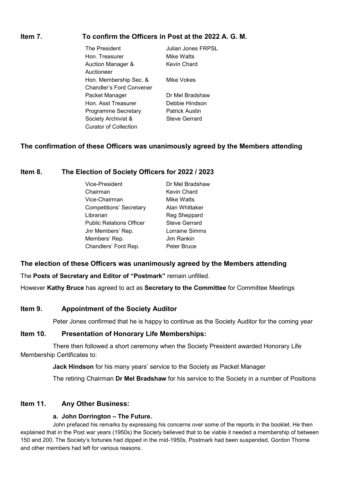### **Item 7. To confirm the Officers in Post at the 2022 A. G. M.**

The President **Indian Jones FRPSL** Hon. Treasurer **Mike Watts** Auction Manager & Kevin Chard Auctioneer Hon. Membership Sec. & Mike Vokes Chandler's Ford Convener Packet Manager **Dr Mel Bradshaw** Hon. Asst Treasurer Debbie Hindson Programme Secretary Patrick Austin Society Archivist & Steve Gerrard Curator of Collection

#### **The confirmation of these Officers was unanimously agreed by the Members attending**

#### **Item 8. The Election of Society Officers for 2022 / 2023**

| Vice-President                  | Dr Mel Bradshaw      |
|---------------------------------|----------------------|
| Chairman                        | Kevin Chard          |
| Vice-Chairman                   | Mike Watts           |
| Competitions' Secretary         | Alan Whittaker       |
| Librarian                       | Reg Sheppard         |
| <b>Public Relations Officer</b> | <b>Steve Gerrard</b> |
| Jnr Members' Rep.               | Lorraine Simms       |
| Members' Rep.                   | Jim Rankin           |
| Chandlers' Ford Rep.            | Peter Bruce          |

#### **The election of these Officers was unanimously agreed by the Members attending**

The **Posts of Secretary and Editor of "Postmark"** remain unfilled.

However **Kathy Bruce** has agreed to act as **Secretary to the Committee** for Committee Meetings

#### **Item 9. Appointment of the Society Auditor**

Peter Jones confirmed that he is happy to continue as the Society Auditor for the coming year

#### **Item 10. Presentation of Honorary Life Memberships:**

There then followed a short ceremony when the Society President awarded Honorary Life Membership Certificates to:

**Jack Hindson** for his many years' service to the Society as Packet Manager

The retiring Chairman **Dr Mel Bradshaw** for his service to the Society in a number of Positions

#### **Item 11. Any Other Business:**

#### **a. John Dorrington – The Future.**

John prefaced his remarks by expressing his concerns over some of the reports in the booklet. He then explained that in the Post war years (1950s) the Society believed that to be viable it needed a membership of between 150 and 200. The Society's fortunes had dipped in the mid-1950s, Postmark had been suspended, Gordon Thorne and other members had left for various reasons.